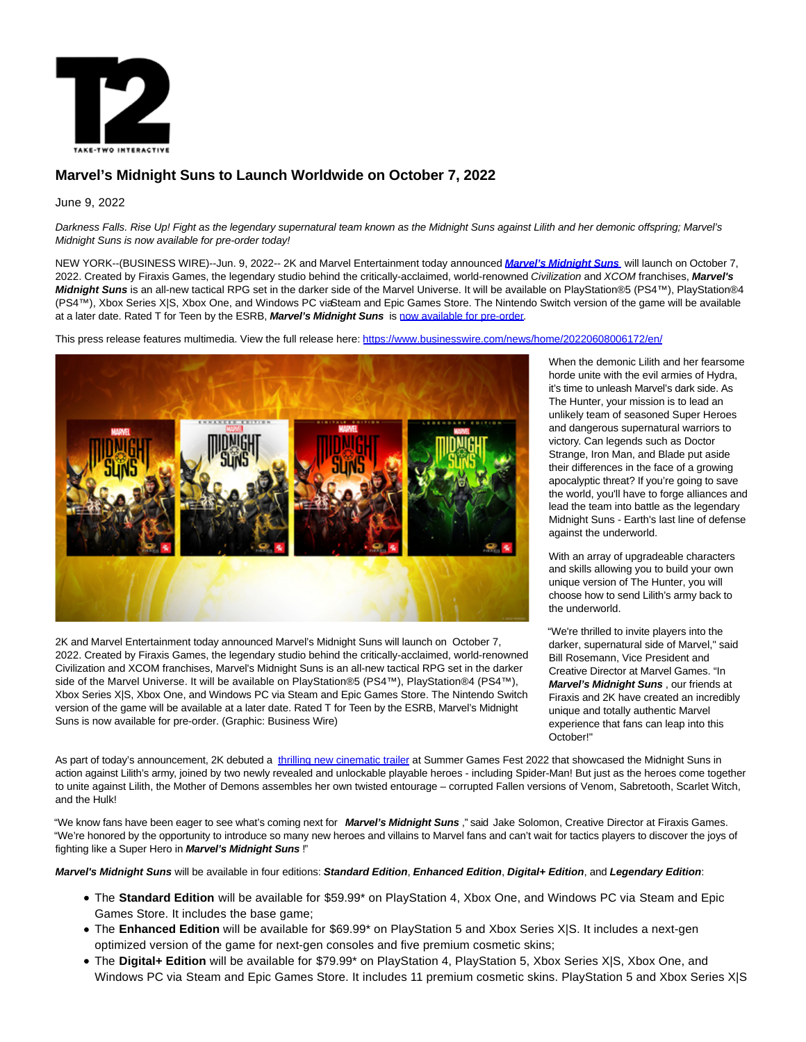

# **Marvel's Midnight Suns to Launch Worldwide on October 7, 2022**

## June 9, 2022

Darkness Falls. Rise Up! Fight as the legendary supernatural team known as the Midnight Suns against Lilith and her demonic offspring; Marvel's Midnight Suns is now available for pre-order today!

NEW YORK--(BUSINESS WIRE)--Jun. 9, 2022-- 2K and Marvel Entertainment today announced **[Marvel's Midnight Suns](https://cts.businesswire.com/ct/CT?id=smartlink&url=http%3A%2F%2Fwww.midnightsuns.com&esheet=52744442&newsitemid=20220608006172&lan=en-US&anchor=Marvel%26%238217%3Bs+Midnight+Suns&index=1&md5=ca46d4b839ebbac800b3b09ffeb4b572)** will launch on October 7, 2022. Created by Firaxis Games, the legendary studio behind the critically-acclaimed, world-renowned Civilization and XCOM franchises, **Marvel's Midnight Suns** is an all-new tactical RPG set in the darker side of the Marvel Universe. It will be available on PlayStation®5 (PS4™), PlayStation®4 (PS4™), Xbox Series X|S, Xbox One, and Windows PC viaSteam and Epic Games Store. The Nintendo Switch version of the game will be available at a later date. Rated T for Teen by the ESRB, **Marvel's Midnight Suns** is [now available for pre-order.](https://cts.businesswire.com/ct/CT?id=smartlink&url=http%3A%2F%2Fmidnightsuns.2k.com%2Fbuy&esheet=52744442&newsitemid=20220608006172&lan=en-US&anchor=now+available+for+pre-order&index=2&md5=47ffee0903f4ff5cd2582af9a60daf7d)

This press release features multimedia. View the full release here:<https://www.businesswire.com/news/home/20220608006172/en/>



2K and Marvel Entertainment today announced Marvel's Midnight Suns will launch on October 7, 2022. Created by Firaxis Games, the legendary studio behind the critically-acclaimed, world-renowned Civilization and XCOM franchises, Marvel's Midnight Suns is an all-new tactical RPG set in the darker side of the Marvel Universe. It will be available on PlayStation®5 (PS4™), PlayStation®4 (PS4™), Xbox Series X|S, Xbox One, and Windows PC via Steam and Epic Games Store. The Nintendo Switch version of the game will be available at a later date. Rated T for Teen by the ESRB, Marvel's Midnight Suns is now available for pre-order. (Graphic: Business Wire)

When the demonic Lilith and her fearsome horde unite with the evil armies of Hydra, it's time to unleash Marvel's dark side. As The Hunter, your mission is to lead an unlikely team of seasoned Super Heroes and dangerous supernatural warriors to victory. Can legends such as Doctor Strange, Iron Man, and Blade put aside their differences in the face of a growing apocalyptic threat? If you're going to save the world, you'll have to forge alliances and lead the team into battle as the legendary Midnight Suns - Earth's last line of defense against the underworld.

With an array of upgradeable characters and skills allowing you to build your own unique version of The Hunter, you will choose how to send Lilith's army back to the underworld.

"We're thrilled to invite players into the darker, supernatural side of Marvel," said Bill Rosemann, Vice President and Creative Director at Marvel Games. "In **Marvel's Midnight Suns** , our friends at Firaxis and 2K have created an incredibly unique and totally authentic Marvel experience that fans can leap into this October!"

As part of today's announcement, 2K debuted a [thrilling new cinematic trailer a](https://cts.businesswire.com/ct/CT?id=smartlink&url=https%3A%2F%2Fyoutu.be%2FWVZTsTXO3Nk&esheet=52744442&newsitemid=20220608006172&lan=en-US&anchor=thrilling+new+cinematic+trailer&index=3&md5=ae4ea93520fd997566ea71eda4f13261)t Summer Games Fest 2022 that showcased the Midnight Suns in action against Lilith's army, joined by two newly revealed and unlockable playable heroes - including Spider-Man! But just as the heroes come together to unite against Lilith, the Mother of Demons assembles her own twisted entourage – corrupted Fallen versions of Venom, Sabretooth, Scarlet Witch, and the Hulk!

"We know fans have been eager to see what's coming next for **Marvel's Midnight Suns** ," said Jake Solomon, Creative Director at Firaxis Games. "We're honored by the opportunity to introduce so many new heroes and villains to Marvel fans and can't wait for tactics players to discover the joys of fighting like a Super Hero in **Marvel's Midnight Suns** !"

**Marvel's Midnight Suns** will be available in four editions: **Standard Edition**, **Enhanced Edition**, **Digital+ Edition**, and **Legendary Edition**:

- The **Standard Edition** will be available for \$59.99\* on PlayStation 4, Xbox One, and Windows PC via Steam and Epic Games Store. It includes the base game;
- The **Enhanced Edition** will be available for \$69.99\* on PlayStation 5 and Xbox Series X|S. It includes a next-gen optimized version of the game for next-gen consoles and five premium cosmetic skins;
- The **Digital+ Edition** will be available for \$79.99\* on PlayStation 4, PlayStation 5, Xbox Series X|S, Xbox One, and Windows PC via Steam and Epic Games Store. It includes 11 premium cosmetic skins. PlayStation 5 and Xbox Series X|S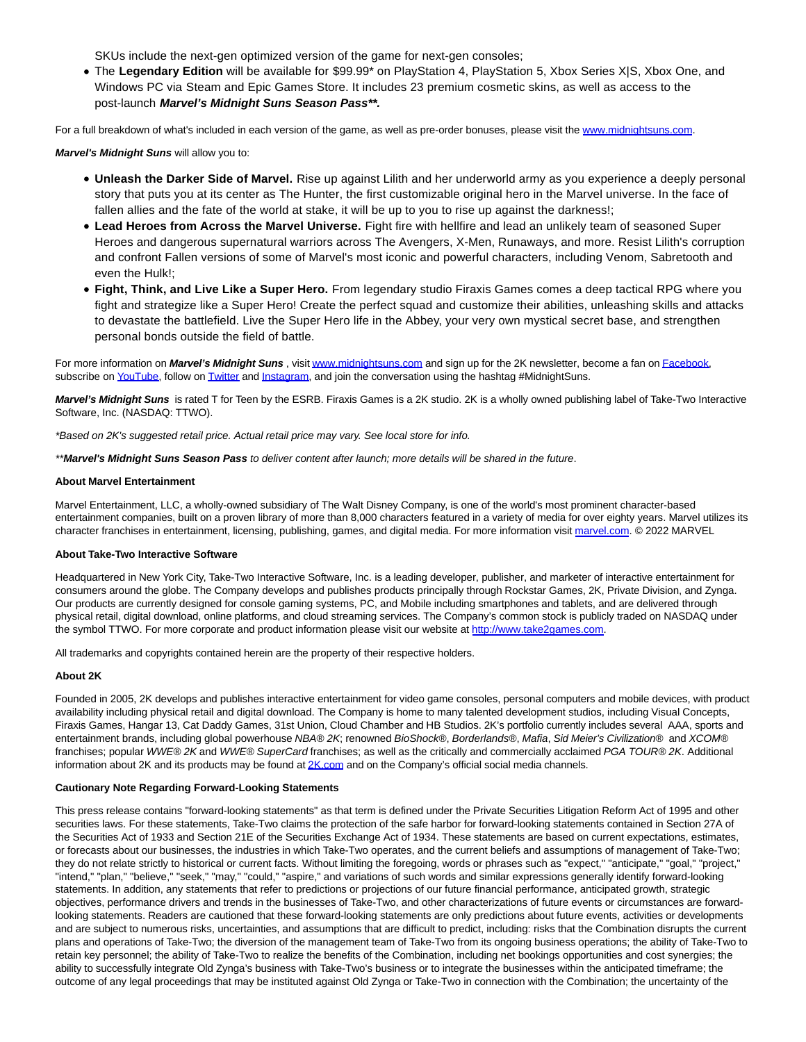SKUs include the next-gen optimized version of the game for next-gen consoles;

The **Legendary Edition** will be available for \$99.99\* on PlayStation 4, PlayStation 5, Xbox Series X|S, Xbox One, and Windows PC via Steam and Epic Games Store. It includes 23 premium cosmetic skins, as well as access to the post-launch **Marvel's Midnight Suns Season Pass\*\*.**

For a full breakdown of what's included in each version of the game, as well as pre-order bonuses, please visit the [www.midnightsuns.com.](https://cts.businesswire.com/ct/CT?id=smartlink&url=http%3A%2F%2Fwww.midnightsuns.com%2F&esheet=52744442&newsitemid=20220608006172&lan=en-US&anchor=www.midnightsuns.com&index=4&md5=a1d1e96f4adb26e294a765b00a11c218)

**Marvel's Midnight Suns** will allow you to:

- **Unleash the Darker Side of Marvel.** Rise up against Lilith and her underworld army as you experience a deeply personal story that puts you at its center as The Hunter, the first customizable original hero in the Marvel universe. In the face of fallen allies and the fate of the world at stake, it will be up to you to rise up against the darkness!;
- **Lead Heroes from Across the Marvel Universe.** Fight fire with hellfire and lead an unlikely team of seasoned Super Heroes and dangerous supernatural warriors across The Avengers, X-Men, Runaways, and more. Resist Lilith's corruption and confront Fallen versions of some of Marvel's most iconic and powerful characters, including Venom, Sabretooth and even the Hulk!;
- **Fight, Think, and Live Like a Super Hero.** From legendary studio Firaxis Games comes a deep tactical RPG where you fight and strategize like a Super Hero! Create the perfect squad and customize their abilities, unleashing skills and attacks to devastate the battlefield. Live the Super Hero life in the Abbey, your very own mystical secret base, and strengthen personal bonds outside the field of battle.

For more information on *Marvel's Midnight Suns*, visi[t www.midnightsuns.com a](https://cts.businesswire.com/ct/CT?id=smartlink&url=http%3A%2F%2Fwww.midnightsuns.com%2F&esheet=52744442&newsitemid=20220608006172&lan=en-US&anchor=www.midnightsuns.com&index=5&md5=b672cbce51e27e18bd6c8c301f9e1199)nd sign up for the 2K newsletter, become a fan o[n Facebook,](https://cts.businesswire.com/ct/CT?id=smartlink&url=http%3A%2F%2Fwww.facebook.com%2Fmidnightsuns&esheet=52744442&newsitemid=20220608006172&lan=en-US&anchor=Facebook&index=6&md5=705aafa8b79a0affb4311765d13c0232) subscribe o[n YouTube,](https://cts.businesswire.com/ct/CT?id=smartlink&url=http%3A%2F%2Fwww.youtube.com%2Fmidnightsuns&esheet=52744442&newsitemid=20220608006172&lan=en-US&anchor=YouTube&index=7&md5=a4cad247815057fa6aef46b6ec84ad43) follow o[n Twitter a](https://cts.businesswire.com/ct/CT?id=smartlink&url=http%3A%2F%2Fwww.twitter.com%2Fmidnightsuns&esheet=52744442&newsitemid=20220608006172&lan=en-US&anchor=Twitter&index=8&md5=684c992c67d6ae96688712eb49bb7395)n[d Instagram,](https://cts.businesswire.com/ct/CT?id=smartlink&url=http%3A%2F%2Fwww.instagram.com%2Fmidnightsuns&esheet=52744442&newsitemid=20220608006172&lan=en-US&anchor=Instagram&index=9&md5=3c9f4fc68111a2ea81aa5670804dd01b) and join the conversation using the hashtag #MidnightSuns.

**Marvel's Midnight Suns** is rated T for Teen by the ESRB. Firaxis Games is a 2K studio. 2K is a wholly owned publishing label of Take-Two Interactive Software, Inc. (NASDAQ: TTWO).

\*Based on 2K's suggested retail price. Actual retail price may vary. See local store for info.

\*\***Marvel's Midnight Suns Season Pass** to deliver content after launch; more details will be shared in the future.

### **About Marvel Entertainment**

Marvel Entertainment, LLC, a wholly-owned subsidiary of The Walt Disney Company, is one of the world's most prominent character-based entertainment companies, built on a proven library of more than 8,000 characters featured in a variety of media for over eighty years. Marvel utilizes its character franchises in entertainment, licensing, publishing, games, and digital media. For more information visit [marvel.com.](http://marvel.com/) © 2022 MARVEL

### **About Take-Two Interactive Software**

Headquartered in New York City, Take-Two Interactive Software, Inc. is a leading developer, publisher, and marketer of interactive entertainment for consumers around the globe. The Company develops and publishes products principally through Rockstar Games, 2K, Private Division, and Zynga. Our products are currently designed for console gaming systems, PC, and Mobile including smartphones and tablets, and are delivered through physical retail, digital download, online platforms, and cloud streaming services. The Company's common stock is publicly traded on NASDAQ under the symbol TTWO. For more corporate and product information please visit our website at [http://www.take2games.com.](https://cts.businesswire.com/ct/CT?id=smartlink&url=http%3A%2F%2Fwww.take2games.com%2F&esheet=52744442&newsitemid=20220608006172&lan=en-US&anchor=http%3A%2F%2Fwww.take2games.com&index=10&md5=ba3d4bc44deca03fba24e5b7e873becc)

All trademarks and copyrights contained herein are the property of their respective holders.

### **About 2K**

Founded in 2005, 2K develops and publishes interactive entertainment for video game consoles, personal computers and mobile devices, with product availability including physical retail and digital download. The Company is home to many talented development studios, including Visual Concepts, Firaxis Games, Hangar 13, Cat Daddy Games, 31st Union, Cloud Chamber and HB Studios. 2K's portfolio currently includes several AAA, sports and entertainment brands, including global powerhouse NBA® 2K; renowned BioShock®, Borderlands®, Mafia, Sid Meier's Civilization® and XCOM® franchises; popular WWE® 2K and WWE® SuperCard franchises; as well as the critically and commercially acclaimed PGA TOUR® 2K. Additional information about 2K and its products may be found a[t 2K.com a](https://cts.businesswire.com/ct/CT?id=smartlink&url=https%3A%2F%2Fwww.2k.com%2F&esheet=52744442&newsitemid=20220608006172&lan=en-US&anchor=2K.com&index=11&md5=9169d5e8f31de2ce3bc9c64d28e31a9b)nd on the Company's official social media channels.

### **Cautionary Note Regarding Forward-Looking Statements**

This press release contains "forward-looking statements" as that term is defined under the Private Securities Litigation Reform Act of 1995 and other securities laws. For these statements, Take-Two claims the protection of the safe harbor for forward-looking statements contained in Section 27A of the Securities Act of 1933 and Section 21E of the Securities Exchange Act of 1934. These statements are based on current expectations, estimates, or forecasts about our businesses, the industries in which Take-Two operates, and the current beliefs and assumptions of management of Take-Two; they do not relate strictly to historical or current facts. Without limiting the foregoing, words or phrases such as "expect," "anticipate," "goal," "project," "intend," "plan," "believe," "seek," "may," "could," "aspire," and variations of such words and similar expressions generally identify forward-looking statements. In addition, any statements that refer to predictions or projections of our future financial performance, anticipated growth, strategic objectives, performance drivers and trends in the businesses of Take-Two, and other characterizations of future events or circumstances are forwardlooking statements. Readers are cautioned that these forward-looking statements are only predictions about future events, activities or developments and are subject to numerous risks, uncertainties, and assumptions that are difficult to predict, including: risks that the Combination disrupts the current plans and operations of Take-Two; the diversion of the management team of Take-Two from its ongoing business operations; the ability of Take-Two to retain key personnel; the ability of Take-Two to realize the benefits of the Combination, including net bookings opportunities and cost synergies; the ability to successfully integrate Old Zynga's business with Take-Two's business or to integrate the businesses within the anticipated timeframe; the outcome of any legal proceedings that may be instituted against Old Zynga or Take-Two in connection with the Combination; the uncertainty of the